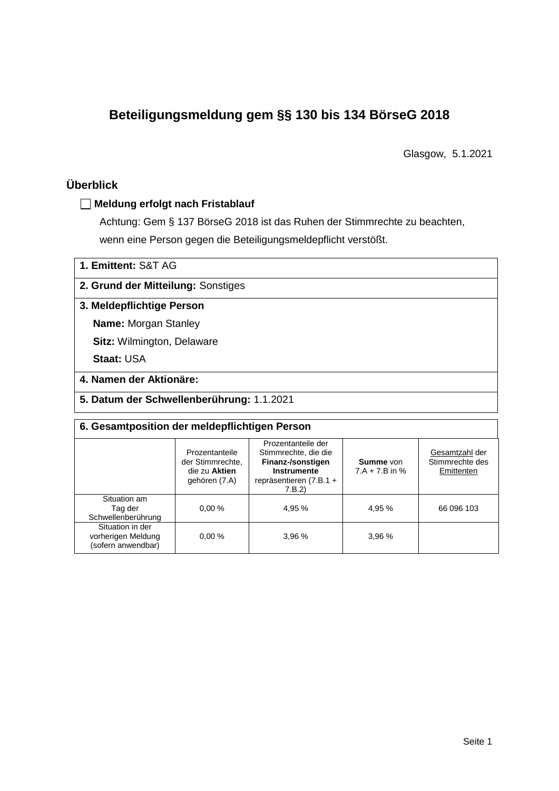# **Beteiligungsmeldung gem §§ 130 bis 134 BörseG 2018**

Glasgow, 5.1.2021

## **Überblick**

## **Meldung erfolgt nach Fristablauf**

Achtung: Gem § 137 BörseG 2018 ist das Ruhen der Stimmrechte zu beachten, wenn eine Person gegen die Beteiligungsmeldepflicht verstößt.

| 1. Emittent: S&T AG                       |
|-------------------------------------------|
| 2. Grund der Mitteilung: Sonstiges        |
| 3. Meldepflichtige Person                 |
| <b>Name: Morgan Stanley</b>               |
| <b>Sitz: Wilmington, Delaware</b>         |
| <b>Staat: USA</b>                         |
| 4. Namen der Aktionäre:                   |
| 5. Datum der Schwellenberührung: 1.1.2021 |

| 6. Gesamtposition der meldepflichtigen Person                |                                                                      |                                                                                                                    |                                      |                                                 |  |  |  |
|--------------------------------------------------------------|----------------------------------------------------------------------|--------------------------------------------------------------------------------------------------------------------|--------------------------------------|-------------------------------------------------|--|--|--|
|                                                              | Prozentanteile<br>der Stimmrechte.<br>die zu Aktien<br>gehören (7.A) | Prozentanteile der<br>Stimmrechte, die die<br>Finanz-/sonstigen<br>Instrumente<br>repräsentieren (7.B.1 +<br>7.B.2 | <b>Summe</b> von<br>$7.A + 7.B$ in % | Gesamtzahl der<br>Stimmrechte des<br>Emittenten |  |  |  |
| Situation am<br>Tag der<br>Schwellenberührung                | 0.00%                                                                | 4.95 %                                                                                                             | 4.95 %                               | 66 096 103                                      |  |  |  |
| Situation in der<br>vorherigen Meldung<br>(sofern anwendbar) | 0.00%                                                                | 3,96 %                                                                                                             | 3,96 %                               |                                                 |  |  |  |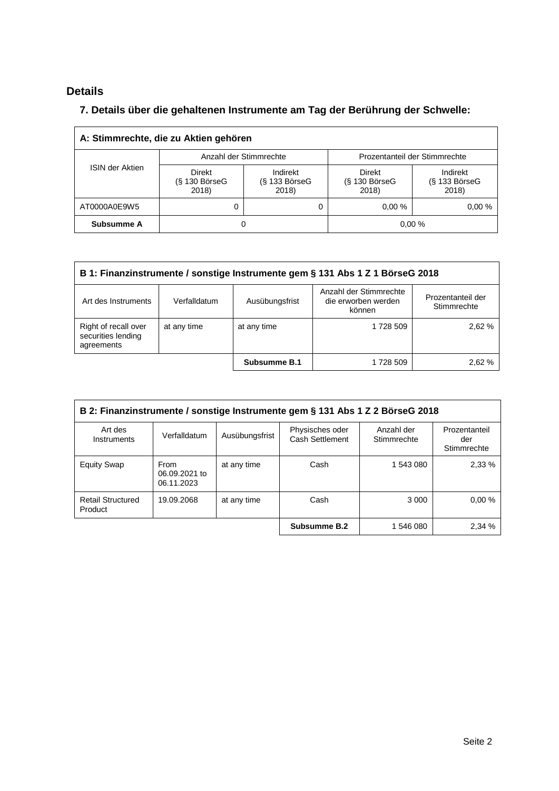## **Details**

 $\overline{\Gamma}$ 

## **7. Details über die gehaltenen Instrumente am Tag der Berührung der Schwelle:**

| A: Stimmrechte, die zu Aktien gehören |                                           |                                      |                                       |                                      |  |
|---------------------------------------|-------------------------------------------|--------------------------------------|---------------------------------------|--------------------------------------|--|
|                                       | Anzahl der Stimmrechte                    |                                      | Prozentanteil der Stimmrechte         |                                      |  |
| <b>ISIN der Aktien</b>                | <b>Direkt</b><br>$(S$ 130 BörseG<br>2018) | Indirekt<br>$(S$ 133 BörseG<br>2018) | Direkt<br>$(S$ 130 Börse $G$<br>2018) | Indirekt<br>$(S$ 133 BörseG<br>2018) |  |
| AT0000A0E9W5                          | 0                                         |                                      | 0.00%                                 | 0.00%                                |  |
| Subsumme A                            | 0                                         |                                      | 0.00%                                 |                                      |  |

| B 1: Finanzinstrumente / sonstige Instrumente gem § 131 Abs 1 Z 1 BörseG 2018                                                                        |             |              |           |        |  |  |
|------------------------------------------------------------------------------------------------------------------------------------------------------|-------------|--------------|-----------|--------|--|--|
| Anzahl der Stimmrechte<br>Prozentanteil der<br>die erworben werden<br>Ausübungsfrist<br>Art des Instruments<br>Verfalldatum<br>Stimmrechte<br>können |             |              |           |        |  |  |
| Right of recall over<br>securities lending<br>agreements                                                                                             | at any time | at any time  | 1728 509  | 2,62 % |  |  |
|                                                                                                                                                      |             | Subsumme B.1 | 1 728 509 | 2.62 % |  |  |

| B 2: Finanzinstrumente / sonstige Instrumente gem § 131 Abs 1 Z 2 BörseG 2018 |                                     |                |                                    |                           |                                     |
|-------------------------------------------------------------------------------|-------------------------------------|----------------|------------------------------------|---------------------------|-------------------------------------|
| Art des<br>Instruments                                                        | Verfalldatum                        | Ausübungsfrist | Physisches oder<br>Cash Settlement | Anzahl der<br>Stimmrechte | Prozentanteil<br>der<br>Stimmrechte |
| <b>Equity Swap</b>                                                            | From<br>06.09.2021 to<br>06.11.2023 | at any time    | Cash                               | 1 543 080                 | 2,33 %                              |
| <b>Retail Structured</b><br>Product                                           | 19.09.2068                          | at any time    | Cash                               | 3 0 0 0                   | 0.00%                               |
|                                                                               |                                     |                | Subsumme B.2                       | 1 546 080                 | 2,34 %                              |

 $\overline{\phantom{a}}$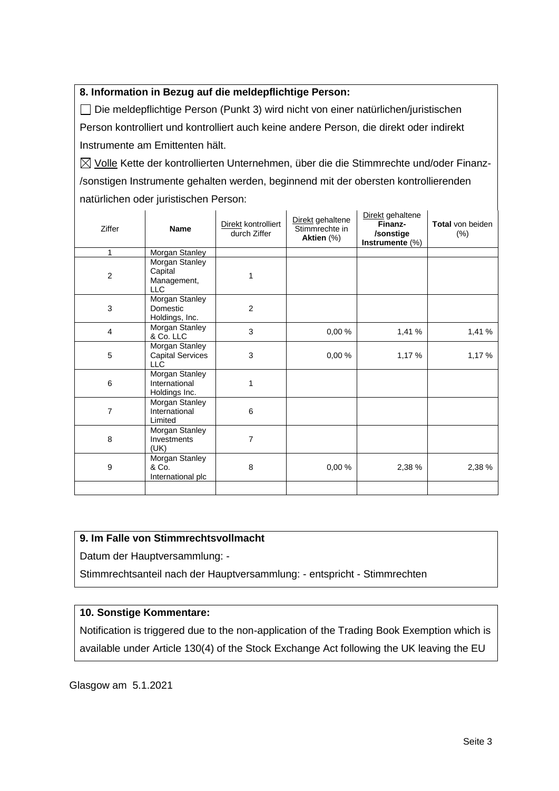## **8. Information in Bezug auf die meldepflichtige Person:**

Die meldepflichtige Person (Punkt 3) wird nicht von einer natürlichen/juristischen Person kontrolliert und kontrolliert auch keine andere Person, die direkt oder indirekt Instrumente am Emittenten hält.

 $\boxtimes$  Volle Kette der kontrollierten Unternehmen, über die die Stimmrechte und/oder Finanz-/sonstigen Instrumente gehalten werden, beginnend mit der obersten kontrollierenden natürlichen oder juristischen Person:

| Ziffer         | <b>Name</b>                                             | Direkt kontrolliert<br>durch Ziffer | Direkt gehaltene<br>Stimmrechte in<br>Aktien (%) | Direkt gehaltene<br>Finanz-<br>/sonstige<br>Instrumente $(\%)$ | <b>Total von beiden</b><br>(%) |
|----------------|---------------------------------------------------------|-------------------------------------|--------------------------------------------------|----------------------------------------------------------------|--------------------------------|
| 1              | Morgan Stanley                                          |                                     |                                                  |                                                                |                                |
| $\overline{c}$ | Morgan Stanley<br>Capital<br>Management,<br>LLC         | 1                                   |                                                  |                                                                |                                |
| 3              | Morgan Stanley<br>Domestic<br>Holdings, Inc.            | $\overline{2}$                      |                                                  |                                                                |                                |
| 4              | Morgan Stanley<br>& Co. LLC                             | 3                                   | 0,00%                                            | 1,41 %                                                         | 1,41 %                         |
| 5              | Morgan Stanley<br><b>Capital Services</b><br><b>LLC</b> | 3                                   | 0,00%                                            | 1,17%                                                          | 1,17 %                         |
| 6              | Morgan Stanley<br>International<br>Holdings Inc.        | 1                                   |                                                  |                                                                |                                |
| 7              | Morgan Stanley<br>International<br>Limited              | 6                                   |                                                  |                                                                |                                |
| 8              | Morgan Stanley<br>Investments<br>(UK)                   | 7                                   |                                                  |                                                                |                                |
| 9              | Morgan Stanley<br>& Co.<br>International plc            | 8                                   | 0,00%                                            | 2,38 %                                                         | 2,38 %                         |
|                |                                                         |                                     |                                                  |                                                                |                                |

#### **9. Im Falle von Stimmrechtsvollmacht**

Datum der Hauptversammlung: -

Stimmrechtsanteil nach der Hauptversammlung: - entspricht - Stimmrechten

## **10. Sonstige Kommentare:**

Notification is triggered due to the non-application of the Trading Book Exemption which is available under Article 130(4) of the Stock Exchange Act following the UK leaving the EU

Glasgow am 5.1.2021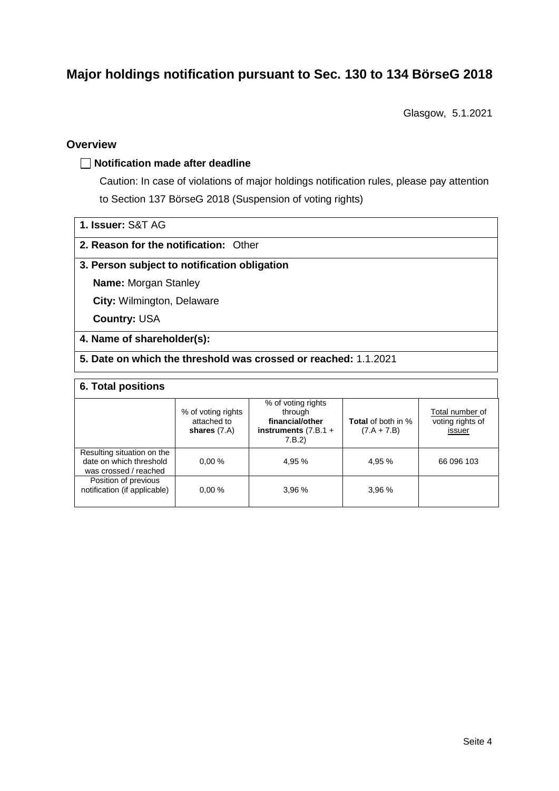# **Major holdings notification pursuant to Sec. 130 to 134 BörseG 2018**

Glasgow, 5.1.2021

### **Overview**

#### **Notification made after deadline**

Caution: In case of violations of major holdings notification rules, please pay attention to Section 137 BörseG 2018 (Suspension of voting rights)

| 1. Issuer: S&T AG |  |
|-------------------|--|
|                   |  |

#### **2. Reason for the notification:** Other

#### **3. Person subject to notification obligation**

**Name:** Morgan Stanley

**City:** Wilmington, Delaware

**Country:** USA

#### **4. Name of shareholder(s):**

**5. Date on which the threshold was crossed or reached:** 1.1.2021

#### **6. Total positions**

|                                                                                | % of voting rights<br>attached to<br>shares $(7.A)$ | % of voting rights<br>through<br>financial/other<br>instruments $(7.B.1 +$<br>7.B.2) | <b>Total</b> of both in %<br>$(7.A + 7.B)$ | Total number of<br>voting rights of<br>issuer |
|--------------------------------------------------------------------------------|-----------------------------------------------------|--------------------------------------------------------------------------------------|--------------------------------------------|-----------------------------------------------|
| Resulting situation on the<br>date on which threshold<br>was crossed / reached | 0.00%                                               | 4.95 %                                                                               | 4.95 %                                     | 66 096 103                                    |
| Position of previous<br>notification (if applicable)                           | 0.00%                                               | 3.96%                                                                                | 3.96%                                      |                                               |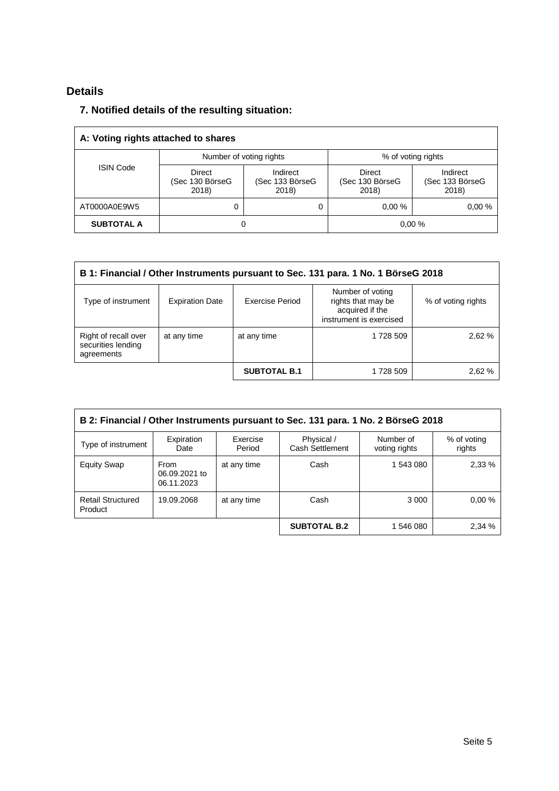## **Details**

## **7. Notified details of the resulting situation:**

| A: Voting rights attached to shares |                                           |                                      |                                    |                                      |  |
|-------------------------------------|-------------------------------------------|--------------------------------------|------------------------------------|--------------------------------------|--|
|                                     | Number of voting rights                   |                                      | % of voting rights                 |                                      |  |
| <b>ISIN Code</b>                    | <b>Direct</b><br>(Sec 130 BörseG<br>2018) | Indirect<br>(Sec 133 BörseG<br>2018) | Direct<br>(Sec 130 BörseG<br>2018) | Indirect<br>(Sec 133 BörseG<br>2018) |  |
| AT0000A0E9W5                        | 0                                         | 0                                    | 0.00%                              | 0.00%                                |  |
| <b>SUBTOTAL A</b>                   | 0                                         |                                      |                                    | 0.00%                                |  |

| B 1: Financial / Other Instruments pursuant to Sec. 131 para. 1 No. 1 BörseG 2018                                                                                             |             |                     |           |        |  |  |
|-------------------------------------------------------------------------------------------------------------------------------------------------------------------------------|-------------|---------------------|-----------|--------|--|--|
| Number of voting<br>rights that may be<br>Exercise Period<br>Type of instrument<br><b>Expiration Date</b><br>% of voting rights<br>acquired if the<br>instrument is exercised |             |                     |           |        |  |  |
| Right of recall over<br>securities lending<br>agreements                                                                                                                      | at any time | at any time         | 1 728 509 | 2.62%  |  |  |
|                                                                                                                                                                               |             | <b>SUBTOTAL B.1</b> | 1 728 509 | 2,62 % |  |  |

| B 2: Financial / Other Instruments pursuant to Sec. 131 para. 1 No. 2 BörseG 2018 |                                            |                    |                                      |                            |                       |
|-----------------------------------------------------------------------------------|--------------------------------------------|--------------------|--------------------------------------|----------------------------|-----------------------|
| Type of instrument                                                                | Expiration<br>Date                         | Exercise<br>Period | Physical /<br><b>Cash Settlement</b> | Number of<br>voting rights | % of voting<br>rights |
| <b>Equity Swap</b>                                                                | <b>From</b><br>06.09.2021 to<br>06.11.2023 | at any time        | Cash                                 | 1 543 080                  | 2.33%                 |
| <b>Retail Structured</b><br>Product                                               | 19.09.2068                                 | at any time        | Cash                                 | 3 0 0 0                    | 0.00%                 |
|                                                                                   |                                            |                    | <b>SUBTOTAL B.2</b>                  | 1 546 080                  | 2,34 %                |